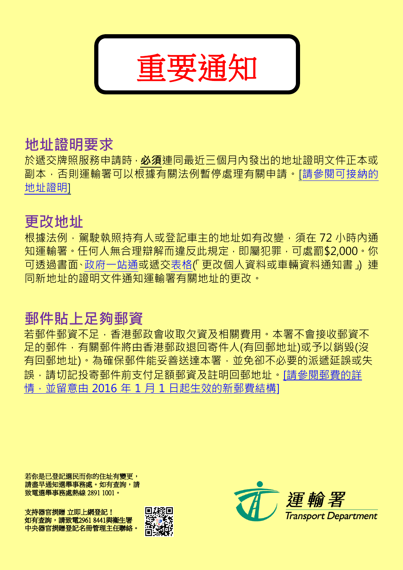

## 地址證明要求

於遞交牌照服務申請時, 必須連同最近三個月內發出的地址證明文件正本或 副本,否則運輸署可以根據有關法例暫停處理有關申請。[\[請參閱可接納的](http://www.td.gov.hk/tc/public_services/licences_and_permits/proof_of_address/index.html) [地址證明\]](http://www.td.gov.hk/tc/public_services/licences_and_permits/proof_of_address/index.html)

## 更改地址

根據法例,駕駛執照持有人或登記車主的地址如有改變,須在 72 小時內通 知運輸署。任何人無合理辯解而違反此規定,即屬犯罪,可處罰\$2,000。你 可透過書面[、政府一站通或](http://www.gov.hk/tc/residents/housing/moving/coa.htm)遞交表格(「更改個人資料或車輛資料通知書」) 連 同新地址的證明文件通知運輸署有關地址的更改。

# 郵件貼上足夠郵資

若郵件郵資不足,香港郵政會收取欠資及相關費用。本署不會接收郵資不 足的郵件,有關郵件將由香港郵政退回寄件人(有回郵地址)或予以銷毀(沒 有回郵地址)。為確保郵件能妥善送達本署,並免卻不必要的派遞延誤或失 誤,請切記投寄郵件前支付足額郵資及註明回郵地址[。\[請參閱郵費的詳](http://www.hongkongpost.hk/tc/postage_calculator/index.html) 情,並留意由 2016年1月1日起生效的新郵費結構1

若你是已登記選民而你的住址有變更, 請盡早通知選舉事務處。如有查詢,請 致電選舉事務處熱線 2891 1001。

支持器官捐贈 立即上網登記! 如有查詢,請致電2961 8441與衞生署 中央器官捐贈登記名冊管理主任聯絡。



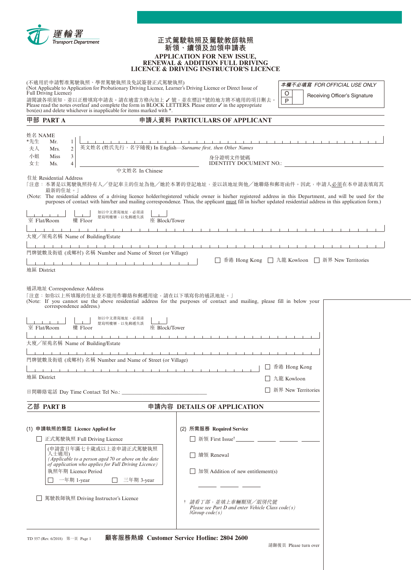

#### **正式駕駛執照及駕駛教師執照 新領、續領及加領申請表 APPLICATION FOR NEW ISSUE, RENEWAL & ADDITION FULL DRIVING LICENCE & DRIVING INSTRUCTOR'S LICENCE**

| (不適用於申請暫准駕駛執照、學習駕駛執照及免試簽發正式駕駛執照)<br>(Not Applicable to Application for Probationary Driving Licence, Learner's Driving Licence or Direct Issue of<br>Full Driving Licence)<br>請閱讀各項須知,並以正楷填寫申請表。請在適當方格內加上 √號,並在標註*號的地方將不適用的項目刪去。<br>Please read the notes overleaf and complete the form in BLOCK LETTERS. Please enter $\checkmark$ in the appropriate<br>box(es) and delete whichever is inapplicable for items marked with *. | 本欄不必填寫 FOR OFFICIAL USE ONLY<br>O<br>Receiving Officer's Signature<br>P                                                                                                                                                                                                                                                        |
|----------------------------------------------------------------------------------------------------------------------------------------------------------------------------------------------------------------------------------------------------------------------------------------------------------------------------------------------------------------------------------------------------------------------------------|--------------------------------------------------------------------------------------------------------------------------------------------------------------------------------------------------------------------------------------------------------------------------------------------------------------------------------|
| 甲部 PART A                                                                                                                                                                                                                                                                                                                                                                                                                        | 申請人資料 PARTICULARS OF APPLICANT                                                                                                                                                                                                                                                                                                 |
| 姓名 NAME<br>*先生<br>$\mathbf{1}$<br>Mr.<br>英文姓名 (姓氏先行, 名字隨後) In English—Surname first, then Other Names<br>夫人<br>$\overline{2}$<br>Mrs.<br>$\mathfrak{Z}$<br>小姐<br>Miss<br>女士<br>4<br>Ms.<br>中文姓名 In Chinese<br>住址 Residential Address                                                                                                                                                                                             | 身分證明文件號碼<br><b>IDENTITY DOCUMENT NO.:</b><br>「注意:本署是以駕駛執照持有人/登記車主的住址為他/她於本署的登記地址,並以該地址與他/她聯絡和郵寄函件。因此,申請人 <u>必須</u> 在本申請表填寫其                                                                                                                                                                                                    |
| 最新的住址。                                                                                                                                                                                                                                                                                                                                                                                                                           | (Note: The residential address of a driving licence holder/registered vehicle owner is his/her registered address in this Department, and will be used for the<br>purposes of contact with him/her and mailing correspondence. Thus, the applicant must fill in his/her updated residential address in this application form.) |
| 如以中文書寫地址,必須清<br>楚寫明樓層,以免郵遞失誤<br>樓 Floor<br>座 Block/Tower<br>室 Flat/Room<br><b>TELESCOPE</b><br>$\mathbf{1}$ $\mathbf{1}$                                                                                                                                                                                                                                                                                                         |                                                                                                                                                                                                                                                                                                                                |
| 大廈/屋苑名稱 Name of Building/Estate                                                                                                                                                                                                                                                                                                                                                                                                  |                                                                                                                                                                                                                                                                                                                                |
| 門牌號數及街道 (或鄉村) 名稱 Number and Name of Street (or Village)<br>1 1 1 1 1 1 1 1 1 1 1 1 1 1 1<br>地區 District                                                                                                                                                                                                                                                                                                                          | 香港 Hong Kong □ 九龍 Kowloon □ 新界 New Territories                                                                                                                                                                                                                                                                                 |
| 通訊地址 Correspondence Address<br>「注意:如你以上所填報的住址並不能用作聯絡和郵遞用途,請在以下填寫你的通訊地址。」<br>(Note: If you cannot use the above residential address for the purposes of contact and mailing, please fill in below your<br>correspondence address.)<br>如以中文書寫地址,必須清<br>楚寫明樓層,以免郵遞失誤<br>室 Flat/Room<br>樓 Floor<br>座 Block/Tower<br><b>The Contract Contract Contract</b><br>大廈/屋苑名稱 Name of Building/Estate                                         | $1 - 1 - 1 - 1 - 1 - 1 - 1$                                                                                                                                                                                                                                                                                                    |
| 門牌號數及街道 (或鄉村) 名稱 Number and Name of Street (or Village)                                                                                                                                                                                                                                                                                                                                                                          |                                                                                                                                                                                                                                                                                                                                |
| 地區 District                                                                                                                                                                                                                                                                                                                                                                                                                      | □ 香港 Hong Kong<br>九龍 Kowloon                                                                                                                                                                                                                                                                                                   |
|                                                                                                                                                                                                                                                                                                                                                                                                                                  | 新界 New Territories                                                                                                                                                                                                                                                                                                             |
| 乙部 PART B                                                                                                                                                                                                                                                                                                                                                                                                                        | 申請內容 DETAILS OF APPLICATION                                                                                                                                                                                                                                                                                                    |
| (1) 申請執照的類型 Licence Applied for<br>□ 正式駕駛執照 Full Driving Licence<br>(申請當日年滿七十歲或以上並申請正式駕駛執照<br>人士適用)<br>(Applicable to a person aged 70 or above on the date<br>of application who applies for Full Driving Licence)<br>執照年期 Licence Period<br>一年期 1-year<br>三年期 3-year                                                                                                                                                           | (2) 所需服務 Required Service<br>新領 First Issue <sup>†</sup> ________ _______ _______ _______<br>續領 Renewal<br>加領 Addition of new entitlement(s)                                                                                                                                                                                   |
| 駕駛教師執照 Driving Instructor's Licence                                                                                                                                                                                                                                                                                                                                                                                              | 請看丁部,並填上車輛類別/組別代號<br>Please see Part D and enter Vehicle Class $code(s)$<br>$ Group\;code(s) $                                                                                                                                                                                                                                 |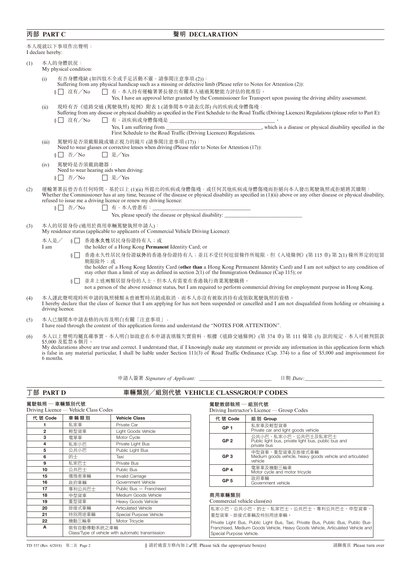### **丙部 PART C 聲明 DECLARATION**

|     | 本人現就以下事項作出聲明:<br>I declare hereby:                                                                                                                                                                                                                                                                                                                                                                                                                  |
|-----|-----------------------------------------------------------------------------------------------------------------------------------------------------------------------------------------------------------------------------------------------------------------------------------------------------------------------------------------------------------------------------------------------------------------------------------------------------|
| (1) | 本人的身體狀況:<br>My physical condition:                                                                                                                                                                                                                                                                                                                                                                                                                  |
|     | 有否身體殘缺(如四肢不全或手足活動不靈,請參閱注意事項(2)):<br>(i)<br>Suffering from any physical handicap such as a missing or defective limb (Please refer to Notes for Attention (2)):<br>□ 有,本人持有運輸署署長發出有關本人通過駕駛能力評估的批准信。<br>8     沒有/No<br>Yes, I have an approval letter granted by the Commissioner for Transport upon passing the driving ability assessment.                                                                                                          |
|     | 現時有否《道路交通(駕駛執照)規例》附表1(請參閱本申請表戊部)內的疾病或身體傷殘:<br>(ii)<br>Suffering from any disease or physical disability as specified in the First Schedule to the Road Traffic (Driving Licences) Regulations (please refer to Part E):<br>$\S \Box$ 沒有/No<br>Yes, I am suffering from __________________________________, which is a disease or physical disability specified in the                                                                               |
|     | First Schedule to the Road Traffic (Driving Licences) Regulations.<br>駕駛時是否須戴眼鏡或矯正視力的鏡片 (請參閱注意事項(17)):<br>(iii)<br>Need to wear glasses or corrective lenses when driving (Please refer to Notes for Attention (17)):<br>$\S \Box \ \overline{\text{f}} / \text{No}$<br>□ 是/Yes                                                                                                                                                                     |
|     | 駕駛時是否須戴助聽器:<br>(iv)<br>Need to wear hearing aids when driving:<br>$\S \Box \ \overline{\oplus} / \mathrm{No}$<br>□ 是/Yes                                                                                                                                                                                                                                                                                                                            |
| (2) | 運輸署署長曾否在任何時間,基於以上(1)(ii) 所提出的疾病或身體傷殘,或任何其他疾病或身體傷殘而拒絕向本人發出駕駛執照或拒絕將其續期:<br>Whether the Commissioner has at any time, because of the disease or physical disability as specified in (1)(ii) above or any other disease or physical disability,<br>refused to issue me a driving licence or renew my driving licence:<br>$\S \Box \ \overline{\text{f}} / \text{No}$<br>□ 有,本人曾患有:__________<br>Yes, please specify the disease or physical disability: |
| (3) | 本人的居留身份 (適用於商用車輛駕駛執照申請人):<br>My residence status (applicable to applicants of Commercial Vehicle Driving Licence):                                                                                                                                                                                                                                                                                                                                  |
|     | 香港永久性居民身份證持有人;或<br>本人是/<br>$\sqrt{2}$<br>the holder of a Hong Kong Permanent Identity Card; or<br>I am                                                                                                                                                                                                                                                                                                                                              |
|     | 香港永久性居民身份證以外的香港身份證持有人;並且不受任何逗留條件所規限,但《入境條例》(第115章)第2(1)條所界定的逗留<br>$\S \Box$<br>期限除外;或<br>the holder of a Hong Kong Identity Card (other than a Hong Kong Permanent Identity Card) and I am not subject to any condition of<br>stay other than a limit of stay as defined in section $2(1)$ of the Immigration Ordinance (Cap 115); or                                                                                                               |
|     | 並非上述兩類居留身份的人士,但本人有需要在香港執行商業駕駛職務。<br>$\frac{1}{2}$<br>not a person of the above residence status, but I am required to perform commercial driving for employment purpose in Hong Kong.                                                                                                                                                                                                                                                               |
| (4) | 本人謹此聲明現時所申請的執照種類未曾被暫時吊銷或取消,而本人亦沒有被取消持有或領取駕駛執照的資格。<br>I hereby declare that the class of licence that I am applying for has not been suspended or cancelled and I am not disqualified from holding or obtaining a<br>driving licence.                                                                                                                                                                                                                |
| (5) | 本人已細閲本申請表格的內容及明白有關「注意事項」。<br>I have read through the content of this application forms and understand the "NOTES FOR ATTENTION".                                                                                                                                                                                                                                                                                                                    |
| (6) | 本人以上聲明均屬真確事實。本人明白如故意在本申請表填報失實資料,根據《道路交通條例》(第 374 章) 第 111 條第 (3) 款的規定,本人可被判罰款<br>\$5,000 及監禁6個月。<br>My declarations above are true and correct. I understand that, if I knowingly make any statement or provide any information in this application form which<br>is false in any material particular, I shall be liable under Section 111(3) of Road Traffic Ordinance (Cap. 374) to a fine of \$5,000 and imprisonment for<br>6 months.           |
|     | 申請人簽署 Signature of Applicant: ________________________________                                                                                                                                                                                                                                                                                                                                                                                      |
|     | 丁部 PART D<br>車輛類別/組別代號 VEHICLE CLASS/GROUP CODES                                                                                                                                                                                                                                                                                                                                                                                                    |
|     | 駕駛執照 ─ 車輛類別代號<br>駕駛教師執照 - 組別代號<br>Vehicle Class Codes                                                                                                                                                                                                                                                                                                                                                                                               |

|                | Driving Licence — Vehicle Class Codes |                                                                  |  |
|----------------|---------------------------------------|------------------------------------------------------------------|--|
| 代號 Code        | 車輛類別                                  | <b>Vehicle Class</b>                                             |  |
| 1              | 私家車                                   | Private Car                                                      |  |
| $\overline{2}$ | 輕型貨車                                  | Light Goods Vehicle                                              |  |
| 3              | 電單車                                   | Motor Cycle                                                      |  |
| 4              | 私家小巴                                  | Private Light Bus                                                |  |
| 5              | 公共小巴                                  | Public Light Bus                                                 |  |
| 6              | 的十                                    | Taxi                                                             |  |
| 9              | 私家巴十                                  | Private Bus                                                      |  |
| 10             | 公共巴士                                  | Public Bus                                                       |  |
| 15             | 傷殘者車輛                                 | Invalid Carriage                                                 |  |
| 16             | 政府車輛                                  | Government Vehicle                                               |  |
| 17             | 專利公共巴士                                | Public Bus - Franchised                                          |  |
| 18             | 中型貨車                                  | Medium Goods Vehicle                                             |  |
| 19             | 重型貨車                                  | Heavy Goods Vehicle                                              |  |
| 20             | 掛接式車輛                                 | <b>Articulated Vehicle</b>                                       |  |
| 21             | 特別用途車輛                                | Special Purpose Vehicle                                          |  |
| 22             | 機動三輪車                                 | Motor Tricycle                                                   |  |
| А              |                                       | 裝有自動傳動系統之車輛<br>Class/Type of vehicle with automatic transmission |  |

| 代號 Code                      | 組別 Group                                                                                  |
|------------------------------|-------------------------------------------------------------------------------------------|
| GP <sub>1</sub>              | 私家車及輕型貨車<br>Private car and light goods vehicle                                           |
| GP <sub>2</sub>              | 公共小巴、私家小巴、公共巴十及私家巴十<br>Public light bus, private light bus, public bus and<br>private bus |
| GP <sub>3</sub>              | 中型貨車、重型貨車及掛接式車輛<br>Medium goods vehicle, heavy goods vehicle and articulated<br>vehicle   |
| GP <sub>4</sub>              | 電單車及機動三輪車<br>Motor cycle and motor tricycle                                               |
| GP 5                         | 政府車輛<br>Government vehicle                                                                |
| 商用車輛類別                       |                                                                                           |
| Commercial vehicle class(es) |                                                                                           |

| 私家小巴、公共小巴、的十、私家巴十、公共巴十、專利公共巴十、中型貨車、 |  |
|-------------------------------------|--|
| 重型貨車、掛接式車輛及特別用途車輛。                  |  |

Private Light Bus, Public Light Bus, Taxi, Private Bus, Public Bus, Public Bus-Franchised, Medium Goods Vehicle, Heavy Goods Vehicle, Articulated Vehicle and Special Purpose Vehicle.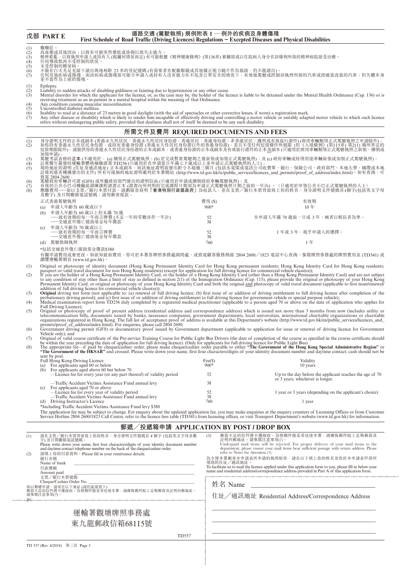|                   | 戊部 PART E                                                                                                                                                                                                                       | 道路交通 (駕駛執照) 規例附表 1 ─ 例外的疾病及身體傷殘<br>First Schedule of Road Traffic (Driving Licences) Regulations – Excepted Diseases and Physical Disabilities                              |              |                 |                                                                                                                                                                                                                                                                                                                                                                                                                                                                                                                                                         |
|-------------------|---------------------------------------------------------------------------------------------------------------------------------------------------------------------------------------------------------------------------------|-----------------------------------------------------------------------------------------------------------------------------------------------------------------------------|--------------|-----------------|---------------------------------------------------------------------------------------------------------------------------------------------------------------------------------------------------------------------------------------------------------------------------------------------------------------------------------------------------------------------------------------------------------------------------------------------------------------------------------------------------------------------------------------------------------|
| (1)<br>$\hat{2}$  | 癲癇症。                                                                                                                                                                                                                            | 高血壓或其他因由, 以致有可能突然暈眩或昏倒以致失去能力。                                                                                                                                               |              |                 |                                                                                                                                                                                                                                                                                                                                                                                                                                                                                                                                                         |
| (3)<br>(4)<br>(5) | 精神紊亂, 以致執照申請人或持有人(視屬何情況而定)有可能根據《精神健康條例》(第136章)被羈留或以住院病人身分在該條例所指的精神病院接受治療。<br>任何導致肌肉不受控制的狀況。<br>未受控制的糖尿病。                                                                                                                        |                                                                                                                                                                             |              |                 |                                                                                                                                                                                                                                                                                                                                                                                                                                                                                                                                                         |
| (6)<br>(7)        | 不能在白天充足光線下讀出與他相距 23 米的登記號碼 (有需要者在配戴眼鏡或其他矯正視力鏡片作為協助,仍不能讀出)。<br>任何其他疾病或傷殘,而該疾病或傷殘很可能令申請人或持有人沒有能力在不危及公眾安全的情況下,有效地駕駛或控制該執照所指的汽車或經適當改裝的汽車;但失聰本身<br>並不當作為上述的傷殘。                                                                       |                                                                                                                                                                             |              |                 |                                                                                                                                                                                                                                                                                                                                                                                                                                                                                                                                                         |
| (1)<br>(2)        | Epilepsy.                                                                                                                                                                                                                       | Liability to sudden attacks of disabling giddiness or fainting due to hypertension or any other cause.                                                                      |              |                 |                                                                                                                                                                                                                                                                                                                                                                                                                                                                                                                                                         |
| (3)<br>(4)        |                                                                                                                                                                                                                                 | receiving treatment as an in-patient in a mental hospital within the meaning of that Ordinance.<br>Any condition causing muscular incoordination.                           |              |                 | Mental disorder for which the applicant for the licence, or, as the case may be, the holder of the licence is liable to be detained under the Mental Health Ordinance (Cap. 136) or is                                                                                                                                                                                                                                                                                                                                                                  |
| (5)<br>(6)<br>(7) | Uncontrolled diabetes mellitus.                                                                                                                                                                                                 | refers without endangering public safety, provided that deafness shall not of itself be deemed to be any such disability.                                                   |              |                 | Inability to read at a distance of 23 metres in good daylight (with the aid of spectacles or other corrective lenses, if worn) a registration mark.<br>Any other disease or disability which is likely to render him incapable of                                                                                                                                                                                                                                                                                                                       |
|                   |                                                                                                                                                                                                                                 | 所需文件及費用 REQUIRED DOCUMENTS AND FEES                                                                                                                                         |              |                 |                                                                                                                                                                                                                                                                                                                                                                                                                                                                                                                                                         |
| (1)<br>(2)        |                                                                                                                                                                                                                                 |                                                                                                                                                                             |              |                 | 身分證明文件的正本或副本(香港永久性居民:香港永久性居民身份證;香港居民:香港身份證;非香港居民:護照或有效旅行證件)(商用車輛類別正式駕駛執照之申請除外);<br>如你持有香港永久性居民身份證,或持有香港身份證 (香港永久性居民身份證以外的香港身份證),並且不受任何逗留條件所規限 (但《入境條例》(第115章) 第2(1) 條所界定的<br>逗留期限除外),請提供你的香港永久性居民身份證的正本或副本,或香港身份證的正本或副本及有效旅行證件的正本 <u>及</u>                                                                                                                                                                                                                                                                                                              |
| (3)<br>(4)<br>(5) | 加領申請);<br>現時地址的證明 (住址及通訊地址) 正本或副本,而該地址證明需發出距今不超過三個月 (包括水電煤或電訊公司收費單、銀行、保險公司、政府部門、本地大學、國際或本地<br>註冊的慈善機構發出的文件) 所有可接納的地址證明載列於本署網站 (http://www.td.gov.hk/tc/public_services/licences_and_permits/proof_of_address/index.html)。如有查詢,可 |                                                                                                                                                                             |              |                 |                                                                                                                                                                                                                                                                                                                                                                                                                                                                                                                                                         |
| (6)<br>(7)<br>(8) | 致電 2804 2600;                                                                                                                                                                                                                   | 駕駛政府車輛許可證 (GF8) 或所屬政府部門發出的證明信函 (只適用於申請或續期政府車輛駕駛執照); 及<br>及數字) 及日間聯絡電話號碼;請勿郵寄現款。                                                                                             |              |                 | 《有效的公共小巴司機職前訓練課程證書正本 (證書)如:「列用的完成課程日期須為何等正干部。我取得日期之前的一年內) 。〈只適用於申領公共小巴正式駕駛執照的人士〉<br>有效的公共小巴司機職前訓練課程證書正本 (證書內所列明的完成課程日期須為申請正式駕駛執照日期之前的一年內) 。〈只適用於申領公共小巴正式駕駛執照的人士〉<br>應繳費用——如以支票/銀行本票付款,請劃線並寫明 <b>「香港特別行政區政府」</b> 為收款人,並在支票/銀行本票背面寫上你的姓名、身分證                                                                                                                                                                                                                                                                                                              |
|                   | 正式香港駕駛執照                                                                                                                                                                                                                        |                                                                                                                                                                             |              | 費用(S)<br>$900*$ | 有效期<br>10 <sup>4</sup>                                                                                                                                                                                                                                                                                                                                                                                                                                                                                                                                  |
|                   | 申請人年齡為 60 歲或以下<br>(a)<br>(b)                                                                                                                                                                                                    | 申請人年齡為 60 歲以上但未滿 70 歲<br>----就有效期的每一年而言牌費(不足一年的零數亦作一年計)<br>──交通意外傷亡援助基金每年徵款                                                                                                 |              | $\frac{52}{38}$ | 至申請人年滿 70 歲前一日或 3 年,兩者以較長者為準。                                                                                                                                                                                                                                                                                                                                                                                                                                                                                                                           |
|                   | 申請人年齡為 70 歲或以上<br>(c)                                                                                                                                                                                                           | 一就有效期的每一年而言牌費                                                                                                                                                               |              | 52              | 1年或 3年,視乎申請人的選擇。                                                                                                                                                                                                                                                                                                                                                                                                                                                                                                                                        |
|                   | (d) 駕駛教師執照                                                                                                                                                                                                                      | ――交通意外傷亡援助基金每年徵款                                                                                                                                                            |              | 38<br>760       | 1年                                                                                                                                                                                                                                                                                                                                                                                                                                                                                                                                                      |
|                   | *包括交通意外傷亡援助基金徵款\$380<br>瀏覽運輸署網頁 (www.td.gov.hk)。                                                                                                                                                                                |                                                                                                                                                                             |              |                 | 有關申請費用或會更改。如欲知最新費用,你可於本署各牌照事務處詢問處、或致電顧客服務熱線 2804 2600/1823 電話中心查詢、參閲牌照事務處的牌照費用表 (TD341) 或                                                                                                                                                                                                                                                                                                                                                                                                                                                               |
| (1)<br>(2)        |                                                                                                                                                                                                                                 |                                                                                                                                                                             |              |                 | Original or photocopy of identity document (Hong Kong Permanent Identity Card for Hong Kong permanent residents; Hong Kong Identity Card for Hong Kong residents; passport or valid travel document for non Hong Kong resident<br>to any condition of stay other than a limit of stay as defined in section 2(1) of the Immigration Ordinance (Cap. 115), please provide the original or photocopy of your Hong Kong<br>Permanent Identity Card, or original or pho                                                                                     |
| (3)<br>(4)        | Full Driving Licence);                                                                                                                                                                                                          |                                                                                                                                                                             |              |                 | <b>Original</b> driving test form (not applicable to: (a) renewal of full driving licence; (b) first issue of or addition of driving entitlement to full driving licence after completion of the probationary driving test form (no                                                                                                                                                                                                                                                                                                                     |
| (5)               |                                                                                                                                                                                                                                 | permits/proof_of_address/index.html). For enquiries, please call 2804 2600;                                                                                                 |              |                 | Original or photocopy of proof of present address (residential address and correspondence address) which is issued not more than 3 months from now (includes utility or<br>telecommunication bills, documents issued by banks, insurance companies, government departments, local universities, international charitable organizations or charitable<br>organizations registered in Hong Kong. The full list of acceptance proof of address is available at this Department's website (http://www.td.gov.hk/en/public_services/licences_and_            |
| (6)               | Vehicle only); and                                                                                                                                                                                                              |                                                                                                                                                                             |              |                 | Government driving permit (GF8) or documentary proof issued by Government department (applicable to application for issue or renewal of driving licence for Government                                                                                                                                                                                                                                                                                                                                                                                  |
| (7)<br>(8)        |                                                                                                                                                                                                                                 | be within the year preceding the date of application for full driving licence). (Only for applicants for full driving licence for Public Light Bus)                         |              |                 | Original of valid course certificate of the Pre-service Training Course for Public Light Bus Drivers (the date of completion of the course as specified in the course certificate should<br>The appropriate fee-if paid by cheque/cashier order, please make cheque/cashier order payable to either "The Government of the Hong Kong Special Administrative Region" or<br>"The Government of the HKSAR" and crossed. Please write down your name, first four characters/digits of your identity document number and daytime contact; cash should not be |
|                   | sent by post.<br>Full Hong Kong Driving Licence<br>(a) For applicants aged 60 or below                                                                                                                                          |                                                                                                                                                                             |              | $\text{Fee}(S)$ | Validity                                                                                                                                                                                                                                                                                                                                                                                                                                                                                                                                                |
|                   |                                                                                                                                                                                                                                 | (b) For applicants aged above 60 but below 70<br>—Licence fee for every year (or any part thereof) of validity period                                                       |              | $900*$<br>52    | 10 years<br>Up to the day before the applicant reaches the age of 70                                                                                                                                                                                                                                                                                                                                                                                                                                                                                    |
|                   |                                                                                                                                                                                                                                 | -Traffic Accident Victims Assistance Fund annual levy                                                                                                                       |              | 38              | or 3 years, whichever is longer.                                                                                                                                                                                                                                                                                                                                                                                                                                                                                                                        |
|                   | (c)                                                                                                                                                                                                                             | For applicants aged 70 or above<br>-Licence fee for every year of validity period                                                                                           |              | 52              | 1 year or 3 years (depending on the applicant's choice)                                                                                                                                                                                                                                                                                                                                                                                                                                                                                                 |
|                   | (d) Driving Instructor's Licence                                                                                                                                                                                                | -Traffic Accident Victims Assistance Fund annual levy                                                                                                                       |              | 38<br>760       | 1 year                                                                                                                                                                                                                                                                                                                                                                                                                                                                                                                                                  |
|                   |                                                                                                                                                                                                                                 | *Including Traffic Accident Victims Assistance Fund levy \$380                                                                                                              |              |                 | The application fee may be subject to change. For enquiry about the updated application fee, you may make enquiries at the enquiry counters of Licensing Offices or from Customer Service Hotline 2804 2600/1823 Call Centre,                                                                                                                                                                                                                                                                                                                           |
|                   |                                                                                                                                                                                                                                 | 郵遞/投遞箱申請 APPLICATION BY POST / DROP BOX                                                                                                                                     |              |                 |                                                                                                                                                                                                                                                                                                                                                                                                                                                                                                                                                         |
| (1)               | 字)及日間聯絡電話號碼。                                                                                                                                                                                                                    | 請在支票/銀行本票背面寫上你的姓名、身分證明文件號碼首4個字(包括英文字母及數                                                                                                                                     |              | (3)             | 郵資不足的信件將不獲接收。為使郵件能妥善送達本署,請確保郵件貼上足夠郵資及<br>註明回郵地址。請參閱注意事項(7)。                                                                                                                                                                                                                                                                                                                                                                                                                                                                                             |
|                   |                                                                                                                                                                                                                                 | Please write down your name, first four characters/digits of your identity document number<br>and daytime contact telephone number on the back of the cheque/cashier order. |              |                 | Underpaid mail items will be rejected. For proper delivery of your mail items to the<br>department, please ensure your mail items bear sufficient postage with return address. Please                                                                                                                                                                                                                                                                                                                                                                   |
| (2)               | 銀行名稱<br>Name of bank                                                                                                                                                                                                            | 請填上你的付款資料。Please fill in your remittance details.                                                                                                                           |              | 填寫的住址/通訊地址。     | refer to Notes for Attention (7).<br>為方便本署郵寄本申請表所申請的執照給你,請在以下填上你的姓名及你於本申請表甲部所                                                                                                                                                                                                                                                                                                                                                                                                                                                                           |
|                   | 付款總額<br>Amount paid<br>支票/銀行本票號碼                                                                                                                                                                                                |                                                                                                                                                                             |              |                 | To facilitate us to mail the licence applied under this application form to you, please fill in below your name and residential address/correspondence address provided in Part A of this application form.                                                                                                                                                                                                                                                                                                                                             |
|                   |                                                                                                                                                                                                                                 |                                                                                                                                                                             |              | 姓名 Name         | <u> 1989 - Johann Harry Harry Harry Harry Harry Harry Harry Harry Harry Harry Harry Harry Harry Harry Harry Harry Harry Harry Harry Harry Harry Harry Harry Harry Harry Harry Harry Harry Harry Harry Harry Harry Harry Harry Ha</u>                                                                                                                                                                                                                                                                                                                    |
|                   | Cheque/Cashier Order No.<br>請參閲注意事項(7)。                                                                                                                                                                                         | 如以郵遞申請,請寄往以下地址 (請沿虛線剪下)<br>郵資不足的信件將不獲接收。為使郵件能妥善送達本署,請確保郵件貼上足夠郵資及註明回郵地址。                                                                                                     |              |                 |                                                                                                                                                                                                                                                                                                                                                                                                                                                                                                                                                         |
|                   |                                                                                                                                                                                                                                 |                                                                                                                                                                             |              |                 | 住址/通訊地址 Residential Address/Correspondence Address                                                                                                                                                                                                                                                                                                                                                                                                                                                                                                      |
|                   |                                                                                                                                                                                                                                 | 運輸署觀塘牌照事務處<br>東九龍郵政信箱68115號                                                                                                                                                 |              |                 |                                                                                                                                                                                                                                                                                                                                                                                                                                                                                                                                                         |
|                   |                                                                                                                                                                                                                                 |                                                                                                                                                                             | <b>TD557</b> |                 |                                                                                                                                                                                                                                                                                                                                                                                                                                                                                                                                                         |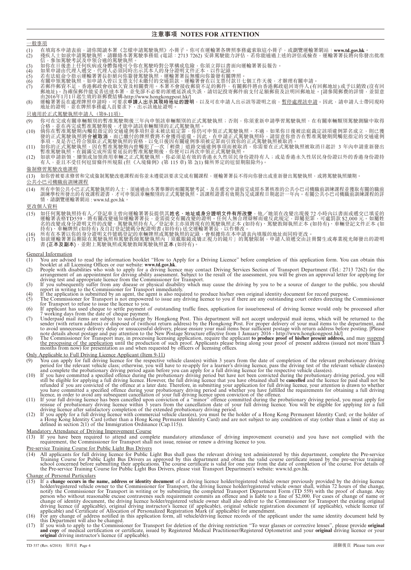#### **注意事項 NOTES FOR ATTENTION**

#### 一般事項

- <mark>(1) 在填寫本申請表前,請你閱讀本署《怎樣申請駕駛執照》小冊子。你可在運輸署各牌照事務處索取這小冊子,或瀏覽運輸署網站:www.td.gov.hk。</mark><br>(2) 殘疾人士如欲申請駕駛執照,請聯絡本署駕駛事務組 (電話:2713 7262) 安排駕駛能力評估,若你能通過上述的評估或檢查,運輸署署長將向你發出批准 (2) 殘疾人士如欲申請駕駛執照,請聯絡本署駕駛事務組 (電話:2713 7262) 安排駕駛能力評估,若你能通過上述的評估或檢查,運輸署署長將向你發出批准<br>信,參加駕駛考試及申領合適的駕駛執照。
- 
- (3) 如你在日後患上任何疾病或身體傷殘可令你在駕駛時對公眾構成危險,你須立即以書面向運輸署署長報告。
- (4) 如果申請由代理人遞交,代理人必須同時出示其本人的身分證明文件正本,以作記錄。
- (5) 若有法庭命令指示運輸署署長拒絕向你簽發駕駛執照,運輸署署長無權向你簽發有關牌照。
- (6) 有關申領駕駛執照,如申請人曾以支票支付未繳付的交通罰款,運輸署會在以支票付款日七個工作天後,才辦理有關申請。
- (7) 若郵件郵資不足,香港郵政會收取欠資及相關費用。本署不會接收郵資不足的郵件,有關郵件將由香港郵政退回寄件人 (有回郵地址) 或予以銷毀 (沒有回 郵地址)。為確保郵件能妥善送達本署,並免卻不必要的派遞延誤或失誤,請切記投寄郵件前支付足額郵資及註明回郵地址。[請參閲郵費的詳情,並留意
- 由2016年1月1日起生效的新郵費結構-http://www.hongkongpost.hk/]<br>(8) 運輸署署長在處理牌照申請時,可要求**申請人出示其現時地址的證明**,以及可在申請人出示該等證明之前,<u>暫停處理該申請</u>。因此,請申請人士帶同現時<br>地址的證明,並在牌照事務處人員要求下,出示該地址證明。

#### 只適用於正式駕駛執照申請人(第9-11項)

- (9) 你可在完成有關車輛類別的暫准駕駛期後三年內申領該車輛類別的正式駕駛執照;否則,你須重新申請學習駕駛執照,在有關車輛類別駕駛測驗中取得<br>一 合格,並在再完成暫准駕駛期後,才能申請該車輛類別的正式駕駛執照。
- (10) 倘你在暫准駕駛期內觸犯指定的交通違例事項但並未被法庭定罪,你仍可申領正式駕駛執照。不過,如果你日後被法庭裁定該項違例罪名成立,則已獲<br> 發的正式駕駛執照將會**被取消**,而已繳付的牌照費將不會獲得退還。因此,在申請正式駕駛執照時,請留意你曾否在暫准駕駛期間觸犯指定的交通違例 事項,及是否已符合領取正式駕駛執照的資格,以免日後因有關違例事項被定罪而引致你的正式駕駛執照被取消。
- 
- (11) 如你的正式駕駛執照,因在暫准駕駛期內曾觸犯了一次「輕微」道路交通違例事項而被取消,你需要在正式駕駛執照被取消日起計 3 年內申請重新發出<br> 暫准駕駛執照。在圓滿完成所需要延長的暫准駕駛期後,你便可以再次申領正式駕駛執照。<br>(12) 如欲申請新領、續領或加領商用車輛之正式駕駛執照,你必須是有效的香港永久性居民身份證持有人;或是香港永久性居民身份證以外的香港身份證持<br> 有人,並且不受任何逗留條件所規限 (但《入境條例》(第

#### 強制修習駕駛改進課程

(13) 如你曾被要求修習和完成強制駕駛改進課程而你並未遵從該要求完成有關課程,運輸署署長不得向你發出或重新發出駕駛執照,或將駕駛執照續期。

### 公共小巴司機職前訓練課程

(14) 所有申領公共小巴正式駕駛執照的人士,須通過由本署舉辦的相關駕駛考試,及在遞交申請前完成經本署核准的公共小巴司機職前訓練課程並獲取有關的職前<br>訓練學校所發出的有效課程證書,才可申領該車輛類別的正式駕駛執照。該課程證書有效期為完成課程日期起計一年內。有關公共小巴司機職前訓練課程的詳 情,請瀏覽運輸署網站 : www.td.gov.hk。

#### 更改個人資料

- (15) 如任何駕駛執照持有人/登記車主曾向運輸署署長提供其**姓名、地址或身分證明文件有所改變**,他/她須在改變出現後 72 小時內以書面或遞交已填妥的<br>運輸署表格TD559,將有關改變通知運輸署署長,並需提交有關改變的證明。任何人無合理辯解而違反此規定,即屬犯罪,可處罰款 \$2,000 元。如屬姓 名的改變或身分證明文件的改變,駕駛執照持有人/登記車主亦須將現有的駕駛執照正本 (如持有)、駕駛教師執照正本 (如持有)、車輛登記文件正本 (如 持有)、車輛牌照 (如持有) 及自訂登記號碼分配證明書 (如持有) 送交運輸署署長,以作修改。
- (16) 所有在本署以你的身分證明文件號碼登記的車輛牌照或駕駛執照的記錄,會根據你在本申請表內填報的地址而同時更改。
- (17) 如欲運輸署署長刪除在駕駛執照和駕駛教師駕駛執照內「須戴眼鏡或矯正視力的鏡片」的駕駛限制,申請人須遞交由註冊醫生或專業視光師發出的證明 書 **(正本及副本)**,並附上駕駛執照或駕駛教師駕駛執照**正本** (如持有)。

### General Information<br>(1) You are advise

- You are advised to read the information booklet "How to Apply for a Driving Licence" before completion of this application form. You can obtain this
- booklet at all Licensing Offices or our website: www.td.gov.hk.<br>
(2) People with disabilities who wish to apply for a driving licence may contact Driving Services Section of Transport Department (Tel.: 2713 7262) for the a
- 
- (3) If you subsequently suffer from any disease or physical disability which may cause the driving by you to be a source of danger to the public, you should<br>report in writing to the Commissioner for Transport immediately.<br>
- 
- (6) If applicant has used cheque to settle payment of outstanding traffic fines, application for issue/renewal of driving licence would only be processed after<br>
7 working days from the date of cheque payment.<br>
(7) Underpa
- 

#### Only Applicable to Full Driving Licence Applicant (Item 9-11)

- 
- (9)<br>You can apply for full driving lieence for the respective vehicle class(s) with a 3 years from the date of completion of the relevant vehicle class<br>(solution) is a star and complete the probationary driving lience. So
- 
- 

Mandatory Attendance of Driving Improvement Course

(13) If you have been required to attend and complete mandatory attendance of driving improvement course(s) and you have not complied with the requirement, the Commissioner for Transport shall not issue, reissue or renew a

#### Pre-service Training Course for Public Light Bus Drivers

(14) All applicants for full driving licence for Public Light Bus shall pass the relevant driving test administered by this department, complete the Pre-service<br>Training Course for Public Light Bus Drivers as approved by t

#### Change of Personal Particulars

- (15) If a change occurs in the name, address or identity document of a driving licence holder/registered vehicle owner previously provided by the driving licence holder/registered vehicle owner bandly involved by the driv
- 
- this Department will also be changed.<br>(17) If you wish to apply to the Commissioner for Transport for deletion of the driving restriction "To wear glasses or corrective lenses", please provide **original**<br>**and copy** of medi **original** driving instructor's licence (if applicable).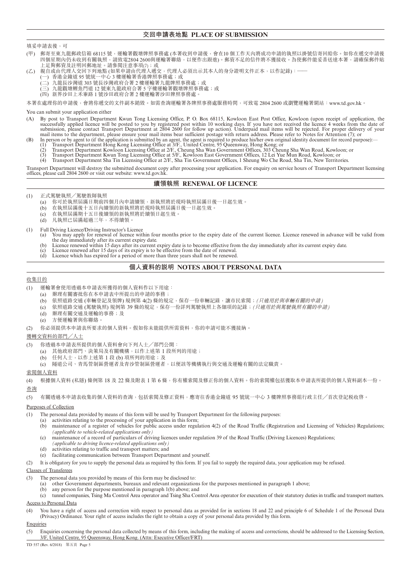#### **交回申請表地點 PLACE OF SUBMISSION**

#### 填妥申請表後,可

- (甲) 郵寄至東九龍郵政信箱 68115 號,運輸署觀塘牌照事務處 (本署收到申請後,會在10 個工作天內將成功申請的執照以掛號信寄回給你。如你在遞交申請後 四個星期內仍未收到有關執照,請致電2804 2600與運輸署聯絡,以便作出跟進)。郵資不足的信件將不獲接收。為使郵件能妥善送達本署,請確保郵件貼 上足夠郵資及註明回郵地址。請參閲注意事項(7);或
- (乙) 親自或由代理人交回下列地點 (如果申請由代理人遞交,代理人必須出示其本人的身分證明文件正本,以作記錄):——
	- -) 香港金鐘道 95 號統一中心 3 樓運輸署香港牌照事務處;或
	- 二) 九龍長沙灣道 303 號長沙灣政府合署 2 樓運輸署九龍牌照事務處;或
	- 三) 九龍觀塘鯉魚門道 12 號東九龍政府合署 5 字樓運輸署觀塘牌照事務處;或
	- (四) 新界沙田上禾輋路 1 號沙田政府合署 2 樓運輸署沙田牌照事務處。

本署在處理你的申請後,會將你遞交的文件副本銷毀。如需查詢運輸署各牌照事務處服務時間,可致電 2804 2600 或瀏覽運輸署網站: www.td.gov.hk。

#### You can submit your application either

- (A) By post to Transport Department Kwun Tong Licensing Office, P. O. Box 68115, Kowloon East Post Office, Kowloon (upon receipt of application, the successfully applied licence will be posted to you by registered post within 10 working days. If you have not received the licence 4 weeks from the date of submission, please contact Transport Department at 2804 2600 for follow up action). Underpaid mail items will be rejected. For proper delivery of your mail items to the department, please ensure your mail items bear sufficient postage with return address. Please refer to Notes for Attention (7); or
- (B) In person or by agent to (if the application is submitted by an agent, the agent is required to produce his/her own original identity document for record purpose):—
	- (1) Transport Department Hong Kong Licensing Office at 3/F., United Centre, 95 Queensway, Hong Kong; or
	- (2) Transport Department Kowloon Licensing Office at 2/F., Cheung Sha Wan Government Offices, 303 Cheung Sha Wan Road, Kowloon; or
	- (3) Transport Department Kwun Tong Licensing Office at 5/F., Kowloon East Government Offices, 12 Lei Yue Mun Road, Kowloon; or
	- (4) Transport Department Sha Tin Licensing Office at 2/F., Sha Tin Government Offices, 1 Sheung Wo Che Road, Sha Tin, New Territories.

Transport Department will destroy the submitted document copy after processing your application. For enquiry on service hours of Transport Department licensing offices, please call 2804 2600 or visit our website: www.td.gov.hk.

#### **續領執照 RENEWAL OF LICENCE**

- (1) 正式駕駛執照/駕駛教師執照
	- (a) 你可於執照屆滿日期前四個月內申請續領,新執照將於現時執照屆滿日後一日起生效。
	- (b) 在執照屆滿後十五日內續領的新執照將於現時執照屆滿日後一日起生效。
	- (c) 在執照屆滿期十五日後續領的新執照將於續領日起生效。
	- (d) 凡執照已屆滿超過三年,不得續領。

- (1) Full Driving Licence/Driving Instructor's Licence You may apply for renewal of licence within four months prior to the expiry date of the current licence. Licence renewed in advance will be valid from the day immediately after its current expiry date.
	- (b) Licence renewed within 15 days after its current expiry date is to become effective from the day immediately after its current expiry date.
	- (c) Licence renewed after 15 days of its expiry is to be effective from the date of renewal.
	- (d) Licence which has expired for a period of more than three years shall not be renewed.

#### **個人資料的說明 NOTES ABOUT PERSONAL DATA**

#### 收集目的

- (1) 運輸署會使用透過本申請表所獲得的個人資料作以下用途:
	- (a) 辦理有關審批你在本申請表中所提出的申請的事務;
	- (b) 依照道路交通 (車輛登記及領牌) 規例第 4(2) 條的規定,保存一份車輛記錄,讓市民索閱;*(*只適用於與車輛有關的申請*)*
	- (c) 依照道路交通 (駕駛執照) 規例第 39 條的規定,保存一份詳列駕駛執照上各細項的記錄;*(*只適用於與駕駛執照有關的申請*)*
	- (d) 辦理有關交通及運輸的事務;及
	- (e) 方便運輸署與你聯絡。
- (2) 你必須提供本申請表所要求的個人資料。假如你未能提供所需資料,你的申請可能不獲接納。

#### 獲轉交資料的部門/人士

- (3) 你透過本申請表所提供的個人資料會向下列人士/部門公開:
	- (a) 其他政府部門、決策局及有關機構,以作上述第 1 段所列的用途;
	- (b) 任何人士, 以作上述第 1 段 (b) 項所列的用途;及
	- (c) 隧道公司、青馬管制區營運者及青沙管制區營運者,以便該等機構執行與交通及運輸有關的法定職責。

#### 索閱個人資料

(4) 根據個人資料 (私隱) 條例第 18 及 22 條及附表 1 第 6 條,你有權索閱及修正你的個人資料。你的索閱權包括獲取本申請表所提供的個人資料副本一份。 查詢

(5) 有關透過本申請表收集的個人資料的查詢,包括索閱及修正資料,應寄往香港金鐘道 95 號統一中心 3 樓牌照事務組行政主任/首次登記税收啓。

#### Purposes of Collection

- (1) The personal data provided by means of this form will be used by Transport Department for the following purposes:
	- (a) activities relating to the processing of your application in this form;
	- (b) maintenance of a register of vehicles for public access under regulation 4(2) of the Road Traffic (Registration and Licensing of Vehicles) Regulations; *(applicable to vehicle-related applications only)*
	- (c) maintenance of a record of particulars of driving licences under regulation 39 of the Road Traffic (Driving Licences) Regulations;
	- *(applicable to driving licence-related applications only)* activities relating to traffic and transport matters; and
	- (e) facilitating communication between Transport Department and yourself.

(2) It is obligatory for you to supply the personal data as required by this form. If you fail to supply the required data, your application may be refused.

#### Classes of Transferees

- (3) The personal data you provided by means of this form may be disclosed to:
	- (a) other Government departments, bureaux and relevant organizations for the purposes mentioned in paragraph 1 above;
	- (b) any person for the purpose mentioned in paragraph 1(b) above; and
- (c) tunnel companies, Tsing Ma Control Area operator and Tsing Sha Control Area operator for execution of their statutory duties in traffic and transport matters.

#### Access to Personal Data

(4) You have a right of access and correction with respect to personal data as provided for in sections 18 and 22 and principle 6 of Schedule 1 of the Personal Data (Privacy) Ordinance. Your right of access includes the right to obtain a copy of your personal data provided by this form.

#### Enquiries

(5) Enquiries concerning the personal data collected by means of this form, including the making of access and corrections, should be addressed to the Licensing Section, 3/F, United Centre, 95 Queensway, Hong Kong. (Attn: Executive Officer/FRT)